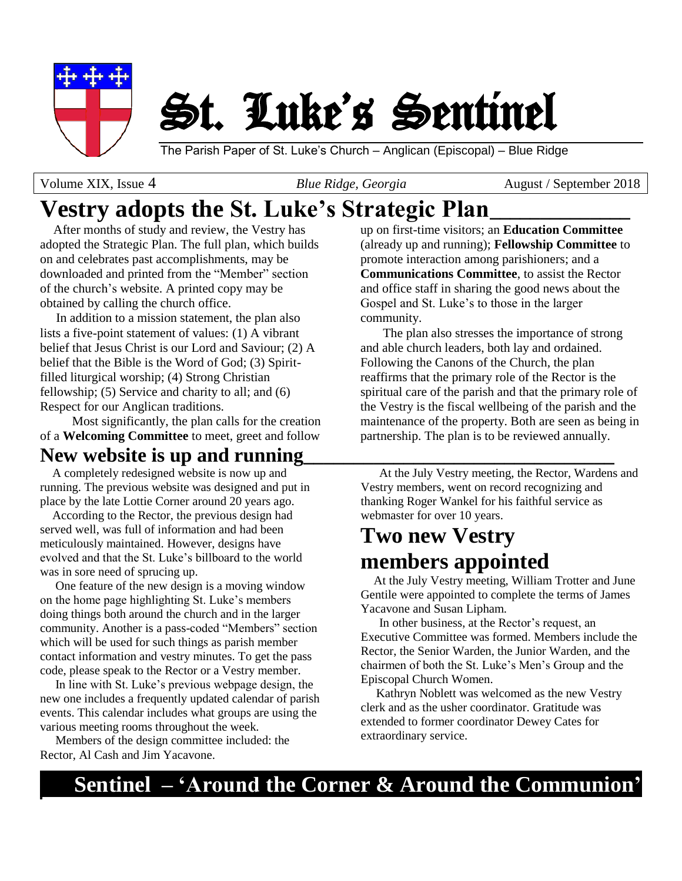

# St. Luke's Sentinel

The Parish Paper of St. Luke's Church – Anglican (Episcopal) – Blue Ridge

Volume XIX, Issue 4*Blue Ridge, Georgia*August / September 2018

# **Vestry adopts the St. Luke's Strategic Plan\_\_\_\_\_\_\_\_\_\_\_\_\_\_**

 After months of study and review, the Vestry has adopted the Strategic Plan. The full plan, which builds on and celebrates past accomplishments, may be downloaded and printed from the "Member" section of the church's website. A printed copy may be obtained by calling the church office.

 In addition to a mission statement, the plan also lists a five-point statement of values: (1) A vibrant belief that Jesus Christ is our Lord and Saviour; (2) A belief that the Bible is the Word of God; (3) Spiritfilled liturgical worship; (4) Strong Christian fellowship; (5) Service and charity to all; and (6) Respect for our Anglican traditions.

 Most significantly, the plan calls for the creation of a **Welcoming Committee** to meet, greet and follow

# New website is up and running

 A completely redesigned website is now up and running. The previous website was designed and put in place by the late Lottie Corner around 20 years ago.

 According to the Rector, the previous design had served well, was full of information and had been meticulously maintained. However, designs have evolved and that the St. Luke's billboard to the world was in sore need of sprucing up.

 One feature of the new design is a moving window on the home page highlighting St. Luke's members doing things both around the church and in the larger community. Another is a pass-coded "Members" section which will be used for such things as parish member contact information and vestry minutes. To get the pass code, please speak to the Rector or a Vestry member.

 In line with St. Luke's previous webpage design, the new one includes a frequently updated calendar of parish events. This calendar includes what groups are using the various meeting rooms throughout the week.

 Members of the design committee included: the Rector, Al Cash and Jim Yacavone.

up on first-time visitors; an **Education Committee** (already up and running); **Fellowship Committee** to promote interaction among parishioners; and a **Communications Committee**, to assist the Rector and office staff in sharing the good news about the Gospel and St. Luke's to those in the larger community.

 The plan also stresses the importance of strong and able church leaders, both lay and ordained. Following the Canons of the Church, the plan reaffirms that the primary role of the Rector is the spiritual care of the parish and that the primary role of the Vestry is the fiscal wellbeing of the parish and the maintenance of the property. Both are seen as being in partnership. The plan is to be reviewed annually.

 At the July Vestry meeting, the Rector, Wardens and Vestry members, went on record recognizing and thanking Roger Wankel for his faithful service as webmaster for over 10 years.

# **Two new Vestry members appointed**

 At the July Vestry meeting, William Trotter and June Gentile were appointed to complete the terms of James Yacavone and Susan Lipham.

 In other business, at the Rector's request, an Executive Committee was formed. Members include the Rector, the Senior Warden, the Junior Warden, and the chairmen of both the St. Luke's Men's Group and the Episcopal Church Women.

 Kathryn Noblett was welcomed as the new Vestry clerk and as the usher coordinator. Gratitude was extended to former coordinator Dewey Cates for extraordinary service.

# **Sentinel – 'Around the Corner & Around the Communion'**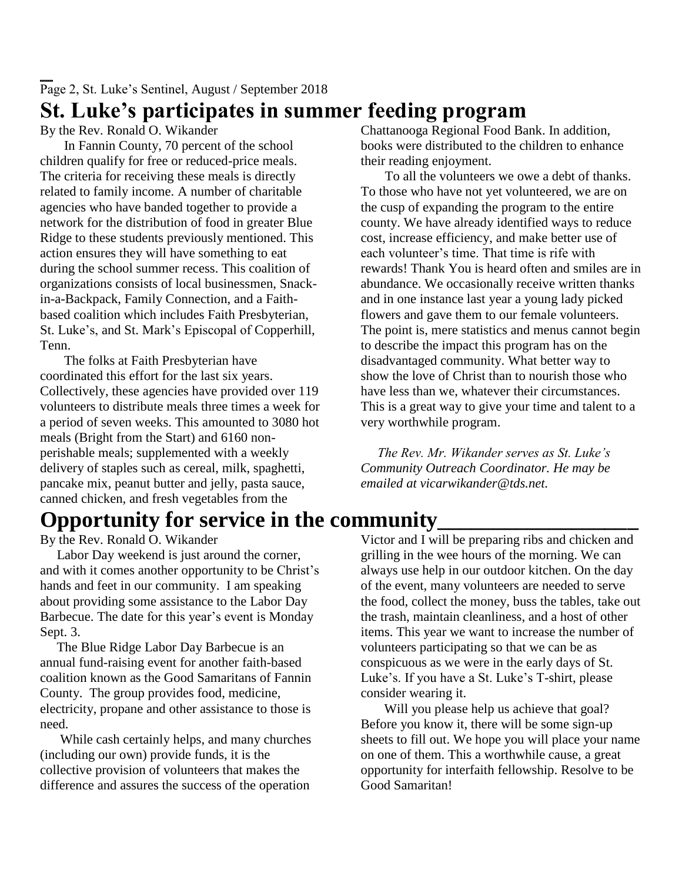# Page 2, St. Luke's Sentinel, August / September 2018 **St. Luke's participates in summer feeding program**

By the Rev. Ronald O. Wikander

In Fannin County, 70 percent of the school children qualify for free or reduced-price meals. The criteria for receiving these meals is directly related to family income. A number of charitable agencies who have banded together to provide a network for the distribution of food in greater Blue Ridge to these students previously mentioned. This action ensures they will have something to eat during the school summer recess. This coalition of organizations consists of local businessmen, Snackin-a-Backpack, Family Connection, and a Faithbased coalition which includes Faith Presbyterian, St. Luke's, and St. Mark's Episcopal of Copperhill, Tenn.

The folks at Faith Presbyterian have coordinated this effort for the last six years. Collectively, these agencies have provided over 119 volunteers to distribute meals three times a week for a period of seven weeks. This amounted to 3080 hot meals (Bright from the Start) and 6160 nonperishable meals; supplemented with a weekly delivery of staples such as cereal, milk, spaghetti, pancake mix, peanut butter and jelly, pasta sauce, canned chicken, and fresh vegetables from the

# **Opportunity for service in the community\_\_\_\_\_\_\_\_\_\_\_\_\_\_\_\_\_\_**

By the Rev. Ronald O. Wikander

 Labor Day weekend is just around the corner, and with it comes another opportunity to be Christ's hands and feet in our community. I am speaking about providing some assistance to the Labor Day Barbecue. The date for this year's event is Monday Sept. 3.

 The Blue Ridge Labor Day Barbecue is an annual fund-raising event for another faith-based coalition known as the Good Samaritans of Fannin County. The group provides food, medicine, electricity, propane and other assistance to those is need.

 While cash certainly helps, and many churches (including our own) provide funds, it is the collective provision of volunteers that makes the difference and assures the success of the operation Chattanooga Regional Food Bank. In addition, books were distributed to the children to enhance their reading enjoyment.

To all the volunteers we owe a debt of thanks. To those who have not yet volunteered, we are on the cusp of expanding the program to the entire county. We have already identified ways to reduce cost, increase efficiency, and make better use of each volunteer's time. That time is rife with rewards! Thank You is heard often and smiles are in abundance. We occasionally receive written thanks and in one instance last year a young lady picked flowers and gave them to our female volunteers. The point is, mere statistics and menus cannot begin to describe the impact this program has on the disadvantaged community. What better way to show the love of Christ than to nourish those who have less than we, whatever their circumstances. This is a great way to give your time and talent to a very worthwhile program.

 *The Rev. Mr. Wikander serves as St. Luke's Community Outreach Coordinator. He may be emailed at vicarwikander@tds.net.*

Victor and I will be preparing ribs and chicken and grilling in the wee hours of the morning. We can always use help in our outdoor kitchen. On the day of the event, many volunteers are needed to serve the food, collect the money, buss the tables, take out the trash, maintain cleanliness, and a host of other items. This year we want to increase the number of volunteers participating so that we can be as conspicuous as we were in the early days of St. Luke's. If you have a St. Luke's T-shirt, please consider wearing it.

Will you please help us achieve that goal? Before you know it, there will be some sign-up sheets to fill out. We hope you will place your name on one of them. This a worthwhile cause, a great opportunity for interfaith fellowship. Resolve to be Good Samaritan!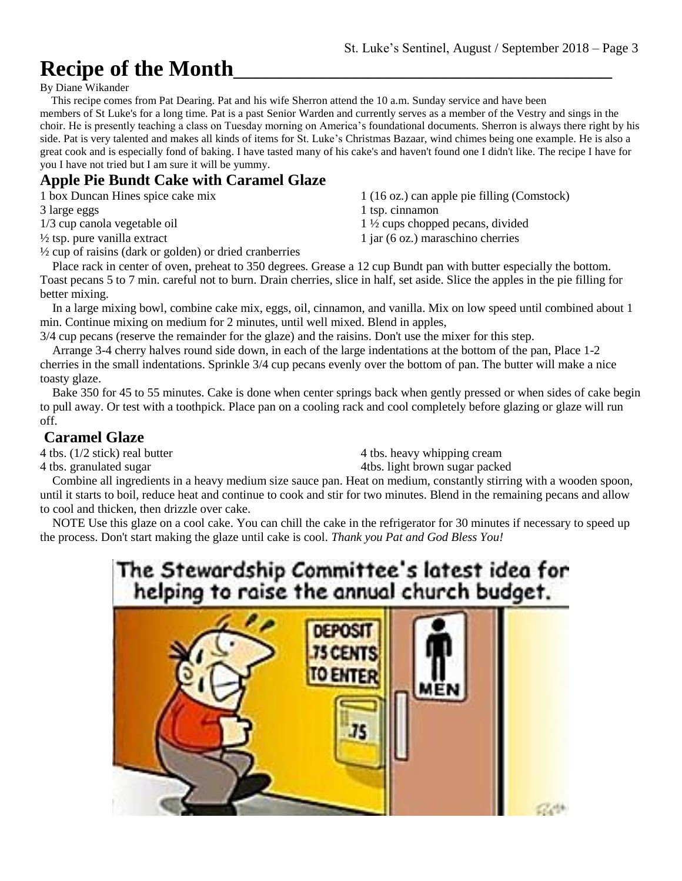# **Recipe of the Month**\_\_\_\_\_\_\_\_\_\_\_\_\_\_\_\_\_\_\_\_\_\_\_\_\_\_\_\_\_\_\_\_\_\_

By Diane Wikander

 This recipe comes from Pat Dearing. Pat and his wife Sherron attend the 10 a.m. Sunday service and have been members of St Luke's for a long time. Pat is a past Senior Warden and currently serves as a member of the Vestry and sings in the choir. He is presently teaching a class on Tuesday morning on America's foundational documents. Sherron is always there right by his side. Pat is very talented and makes all kinds of items for St. Luke's Christmas Bazaar, wind chimes being one example. He is also a great cook and is especially fond of baking. I have tasted many of his cake's and haven't found one I didn't like. The recipe I have for you I have not tried but I am sure it will be yummy.

### **Apple Pie Bundt Cake with Caramel Glaze**

1 box Duncan Hines spice cake mix

3 large eggs

1/3 cup canola vegetable oil

 $\frac{1}{2}$  tsp. pure vanilla extract

½ cup of raisins (dark or golden) or dried cranberries

1 (16 oz.) can apple pie filling (Comstock) 1 tsp. cinnamon 1 ½ cups chopped pecans, divided 1 jar (6 oz.) maraschino cherries

 Place rack in center of oven, preheat to 350 degrees. Grease a 12 cup Bundt pan with butter especially the bottom. Toast pecans 5 to 7 min. careful not to burn. Drain cherries, slice in half, set aside. Slice the apples in the pie filling for better mixing.

 In a large mixing bowl, combine cake mix, eggs, oil, cinnamon, and vanilla. Mix on low speed until combined about 1 min. Continue mixing on medium for 2 minutes, until well mixed. Blend in apples,

3/4 cup pecans (reserve the remainder for the glaze) and the raisins. Don't use the mixer for this step.

 Arrange 3-4 cherry halves round side down, in each of the large indentations at the bottom of the pan, Place 1-2 cherries in the small indentations. Sprinkle 3/4 cup pecans evenly over the bottom of pan. The butter will make a nice toasty glaze.

 Bake 350 for 45 to 55 minutes. Cake is done when center springs back when gently pressed or when sides of cake begin to pull away. Or test with a toothpick. Place pan on a cooling rack and cool completely before glazing or glaze will run off.

### **Caramel Glaze**

4 tbs. (1/2 stick) real butter

4 tbs. granulated sugar

4 tbs. heavy whipping cream 4tbs. light brown sugar packed

 Combine all ingredients in a heavy medium size sauce pan. Heat on medium, constantly stirring with a wooden spoon, until it starts to boil, reduce heat and continue to cook and stir for two minutes. Blend in the remaining pecans and allow to cool and thicken, then drizzle over cake.

 NOTE Use this glaze on a cool cake. You can chill the cake in the refrigerator for 30 minutes if necessary to speed up the process. Don't start making the glaze until cake is cool. *Thank you Pat and God Bless You!*

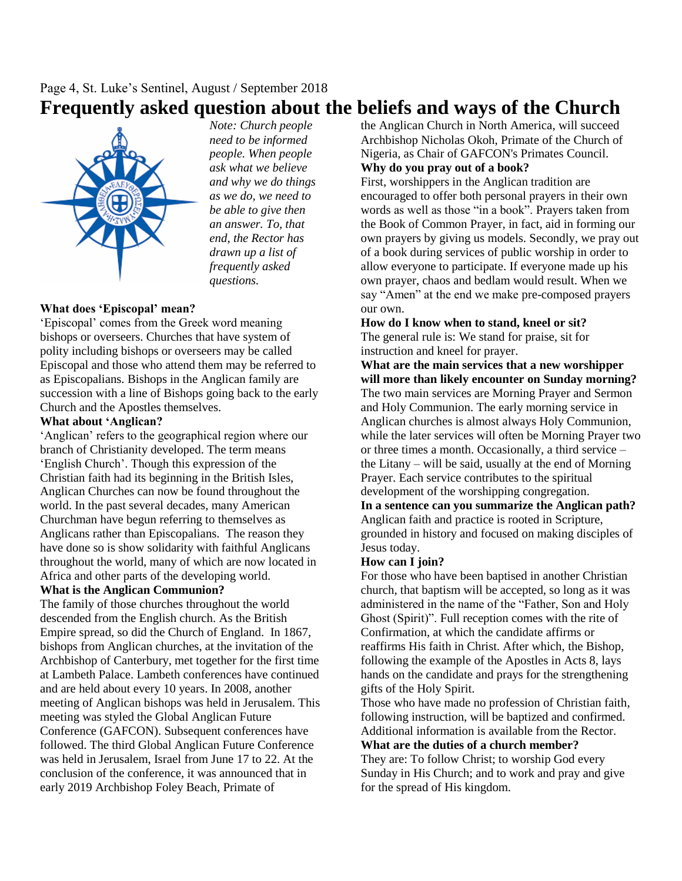### Page 4, St. Luke's Sentinel, August / September 2018 **Frequently asked question about the beliefs and ways of the Church**



*Note: Church people need to be informed people. When people ask what we believe and why we do things as we do, we need to be able to give then an answer. To, that end, the Rector has drawn up a list of frequently asked questions.*

### **What does 'Episcopal' mean?**

'Episcopal' comes from the Greek word meaning bishops or overseers. Churches that have system of polity including bishops or overseers may be called Episcopal and those who attend them may be referred to as Episcopalians. Bishops in the Anglican family are succession with a line of Bishops going back to the early Church and the Apostles themselves.

### **What about 'Anglican?**

'Anglican' refers to the geographical region where our branch of Christianity developed. The term means 'English Church'. Though this expression of the Christian faith had its beginning in the British Isles, Anglican Churches can now be found throughout the world. In the past several decades, many American Churchman have begun referring to themselves as Anglicans rather than Episcopalians. The reason they have done so is show solidarity with faithful Anglicans throughout the world, many of which are now located in Africa and other parts of the developing world.

### **What is the Anglican Communion?**

The family of those churches throughout the world descended from the English church. As the British Empire spread, so did the Church of England. In 1867, bishops from Anglican churches, at the invitation of the Archbishop of Canterbury, met together for the first time at Lambeth Palace. Lambeth conferences have continued and are held about every 10 years. In 2008, another meeting of Anglican bishops was held in Jerusalem. This meeting was styled the Global Anglican Future Conference (GAFCON). Subsequent conferences have followed. The third Global Anglican Future Conference was held in [Jerusalem, Israel](https://en.wikipedia.org/wiki/Jerusalem) from June 17 to 22. At the conclusion of the conference, it was announced that in early 2019 Archbishop [Foley Beach,](https://en.wikipedia.org/wiki/Foley_Beach) Primate of

the [Anglican Church in North America,](https://en.wikipedia.org/wiki/Anglican_Church_in_North_America) will succeed Archbishop [Nicholas Okoh,](https://en.wikipedia.org/wiki/Nicholas_Okoh) Primate of the [Church of](https://en.wikipedia.org/wiki/Church_of_Nigeria)  [Nigeria,](https://en.wikipedia.org/wiki/Church_of_Nigeria) as Chair of GAFCON's Primates Council. **Why do you pray out of a book?**

First, worshippers in the Anglican tradition are encouraged to offer both personal prayers in their own words as well as those "in a book". Prayers taken from the Book of Common Prayer, in fact, aid in forming our own prayers by giving us models. Secondly, we pray out of a book during services of public worship in order to allow everyone to participate. If everyone made up his own prayer, chaos and bedlam would result. When we say "Amen" at the end we make pre-composed prayers our own.

#### **How do I know when to stand, kneel or sit?**

The general rule is: We stand for praise, sit for instruction and kneel for prayer.

**What are the main services that a new worshipper will more than likely encounter on Sunday morning?**  The two main services are Morning Prayer and Sermon and Holy Communion. The early morning service in Anglican churches is almost always Holy Communion, while the later services will often be Morning Prayer two or three times a month. Occasionally, a third service – the Litany – will be said, usually at the end of Morning Prayer. Each service contributes to the spiritual development of the worshipping congregation.

**In a sentence can you summarize the Anglican path?** Anglican faith and practice is rooted in Scripture, grounded in history and focused on making disciples of Jesus today.

### **How can I join?**

For those who have been baptised in another Christian church, that baptism will be accepted, so long as it was administered in the name of the "Father, Son and Holy Ghost (Spirit)". Full reception comes with the rite of Confirmation, at which the candidate affirms or reaffirms His faith in Christ. After which, the Bishop, following the example of the Apostles in Acts 8, lays hands on the candidate and prays for the strengthening gifts of the Holy Spirit.

Those who have made no profession of Christian faith, following instruction, will be baptized and confirmed. Additional information is available from the Rector.

### **What are the duties of a church member?**

They are: To follow Christ; to worship God every Sunday in His Church; and to work and pray and give for the spread of His kingdom.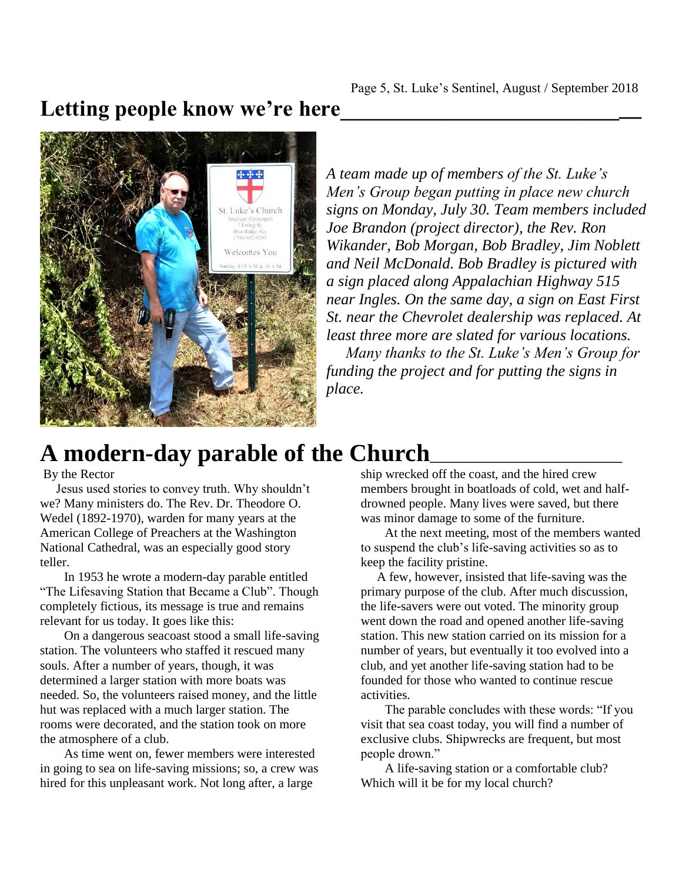## Letting people know we're here



*A team made up of members of the St. Luke's Men's Group began putting in place new church signs on Monday, July 30. Team members included Joe Brandon (project director), the Rev. Ron Wikander, Bob Morgan, Bob Bradley, Jim Noblett and Neil McDonald. Bob Bradley is pictured with a sign placed along Appalachian Highway 515 near Ingles. On the same day, a sign on East First St. near the Chevrolet dealership was replaced. At least three more are slated for various locations. Many thanks to the St. Luke's Men's Group for funding the project and for putting the signs in place.* 

# **A modern-day parable of the Church\_\_\_\_\_\_\_\_\_\_\_\_\_\_\_\_\_\_\_\_\_\_\_\_\_\_\_\_\_\_**

By the Rector

 Jesus used stories to convey truth. Why shouldn't we? Many ministers do. The Rev. Dr. Theodore O. Wedel (1892-1970), warden for many years at the American College of Preachers at the Washington National Cathedral, was an especially good story teller.

In 1953 he wrote a modern-day parable entitled "The Lifesaving Station that Became a Club". Though completely fictious, its message is true and remains relevant for us today. It goes like this:

On a dangerous seacoast stood a small life-saving station. The volunteers who staffed it rescued many souls. After a number of years, though, it was determined a larger station with more boats was needed. So, the volunteers raised money, and the little hut was replaced with a much larger station. The rooms were decorated, and the station took on more the atmosphere of a club.

As time went on, fewer members were interested in going to sea on life-saving missions; so, a crew was hired for this unpleasant work. Not long after, a large

ship wrecked off the coast, and the hired crew members brought in boatloads of cold, wet and halfdrowned people. Many lives were saved, but there was minor damage to some of the furniture.

At the next meeting, most of the members wanted to suspend the club's life-saving activities so as to keep the facility pristine.

 A few, however, insisted that life-saving was the primary purpose of the club. After much discussion, the life-savers were out voted. The minority group went down the road and opened another life-saving station. This new station carried on its mission for a number of years, but eventually it too evolved into a club, and yet another life-saving station had to be founded for those who wanted to continue rescue activities.

The parable concludes with these words: "If you visit that sea coast today, you will find a number of exclusive clubs. Shipwrecks are frequent, but most people drown."

A life-saving station or a comfortable club? Which will it be for my local church?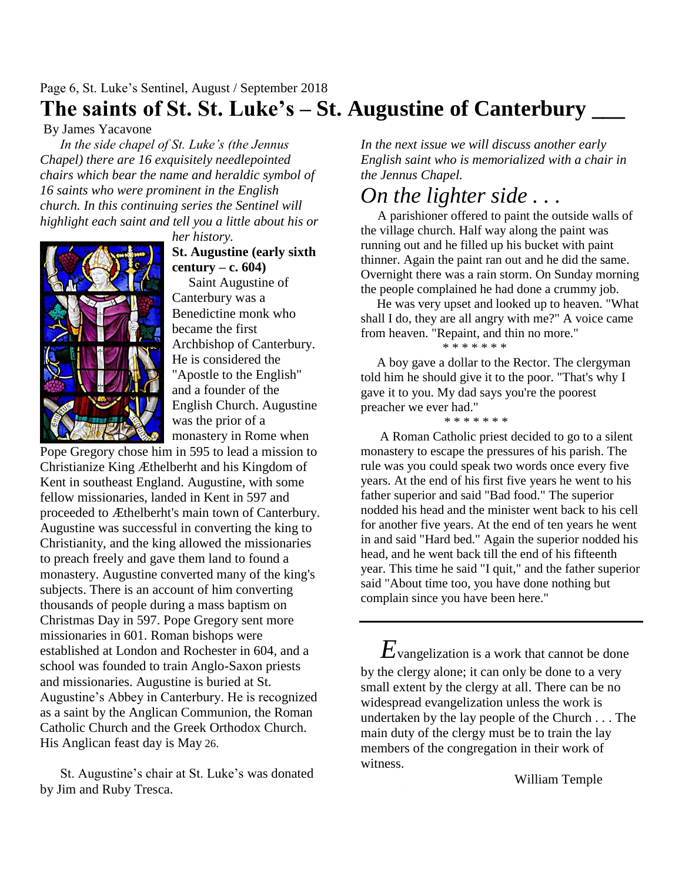### Page 6, St. Luke's Sentinel, August / September 2018 **The saints of St. St. Luke's – St. Augustine of Canterbury \_\_\_**

By James Yacavone

 *In the side chapel of St. Luke's (the Jennus Chapel) there are 16 exquisitely needlepointed chairs which bear the name and heraldic symbol of 16 saints who were prominent in the English church. In this continuing series the Sentinel will highlight each saint and tell you a little about his or* 

*her history.* **St. Augustine (early sixth century – c. 604)**

 Saint Augustine of Canterbury was a Benedictine monk who became the first Archbishop of Canterbury. He is considered the "Apostle to the English" and a founder of the English Church. Augustine was the prior of a monastery in Rome when

Pope Gregory chose him in 595 to lead a mission to Christianize King Æthelberht and his Kingdom of Kent in southeast England. Augustine, with some fellow missionaries, landed in Kent in 597 and proceeded to Æthelberht's main town of Canterbury. Augustine was successful in converting the king to Christianity, and the king allowed the missionaries to preach freely and gave them land to found a monastery. Augustine converted many of the king's subjects. There is an account of him converting thousands of people during a mass baptism on Christmas Day in 597. Pope Gregory sent more missionaries in 601. Roman bishops were established at London and Rochester in 604, and a school was founded to train Anglo-Saxon priests and missionaries. Augustine is buried at St. Augustine's Abbey in Canterbury. He is recognized as a saint by the Anglican Communion, the Roman Catholic Church and the Greek Orthodox Church. His Anglican feast day is May 26.

 St. Augustine's chair at St. Luke's was donated by Jim and Ruby Tresca.

*In the next issue we will discuss another early English saint who is memorialized with a chair in the Jennus Chapel.*

# *On the lighter side . . .*

 A parishioner offered to paint the outside walls of the village church. Half way along the paint was running out and he filled up his bucket with paint thinner. Again the paint ran out and he did the same. Overnight there was a rain storm. On Sunday morning the people complained he had done a crummy job.

 He was very upset and looked up to heaven. "What shall I do, they are all angry with me?" A voice came from heaven. "Repaint, and thin no more."

#### \* \* \* \* \* \* \*

 A boy gave a dollar to the Rector. The clergyman told him he should give it to the poor. "That's why I gave it to you. My dad says you're the poorest preacher we ever had."

\* \* \* \* \* \* \*

 A Roman Catholic priest decided to go to a silent monastery to escape the pressures of his parish. The rule was you could speak two words once every five years. At the end of his first five years he went to his father superior and said "Bad food." The superior nodded his head and the minister went back to his cell for another five years. At the end of ten years he went in and said "Hard bed." Again the superior nodded his head, and he went back till the end of his fifteenth year. This time he said "I quit," and the father superior said "About time too, you have done nothing but complain since you have been here."

 $E_{\mathrm{vangelization\ is\ a\ work\ that\ cannot\ be\ done} }$ by the clergy alone; it can only be done to a very small extent by the clergy at all. There can be no widespread evangelization unless the work is undertaken by the lay people of the Church . . . The main duty of the clergy must be to train the lay members of the congregation in their work of witness.

William Temple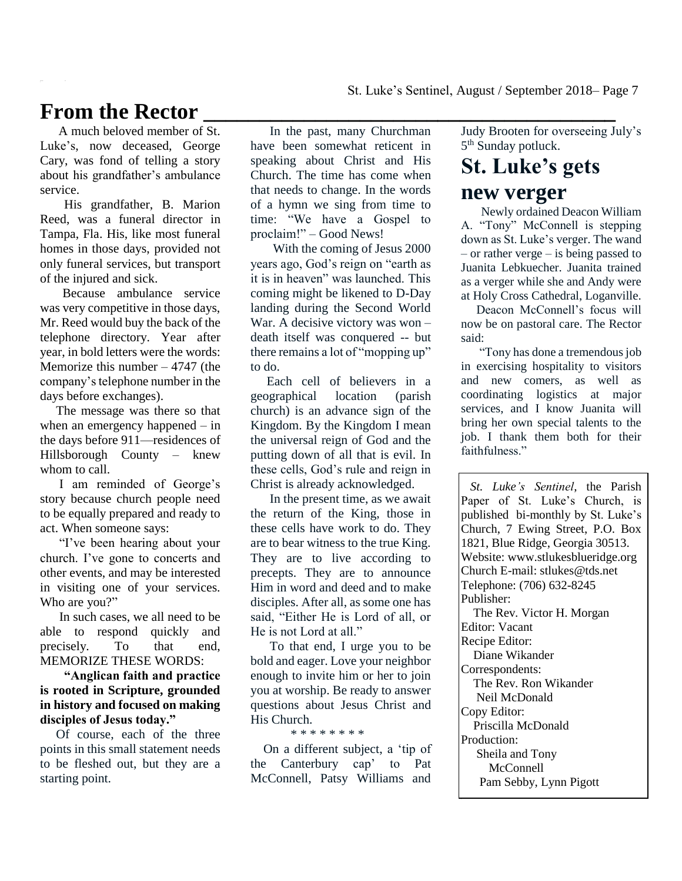# From the Rector

 A much beloved member of St. Luke's, now deceased, George Cary, was fond of telling a story about his grandfather's ambulance service.

His grandfather, B. Marion Reed, was a funeral director in Tampa, Fla. His, like most funeral homes in those days, provided not only funeral services, but transport of the injured and sick.

 Because ambulance service was very competitive in those days, Mr. Reed would buy the back of the telephone directory. Year after year, in bold letters were the words: Memorize this number – 4747 (the company's telephone number in the days before exchanges).

 The message was there so that when an emergency happened – in the days before 911—residences of Hillsborough County – knew whom to call.

 I am reminded of George's story because church people need to be equally prepared and ready to act. When someone says:

 "I've been hearing about your church. I've gone to concerts and other events, and may be interested in visiting one of your services. Who are you?"

 In such cases, we all need to be able to respond quickly and precisely. To that end, MEMORIZE THESE WORDS:

**"Anglican faith and practice is rooted in Scripture, grounded in history and focused on making disciples of Jesus today."**

Of course, each of the three points in this small statement needs to be fleshed out, but they are a starting point.

 In the past, many Churchman have been somewhat reticent in speaking about Christ and His Church. The time has come when that needs to change. In the words of a hymn we sing from time to time: "We have a Gospel to proclaim!" – Good News!

 With the coming of Jesus 2000 years ago, God's reign on "earth as it is in heaven" was launched. This coming might be likened to D-Day landing during the Second World War. A decisive victory was won death itself was conquered -- but there remains a lot of "mopping up" to do.

 Each cell of believers in a geographical location (parish church) is an advance sign of the Kingdom. By the Kingdom I mean the universal reign of God and the putting down of all that is evil. In these cells, God's rule and reign in Christ is already acknowledged.

 In the present time, as we await the return of the King, those in these cells have work to do. They are to bear witness to the true King. They are to live according to precepts. They are to announce Him in word and deed and to make disciples. After all, as some one has said, "Either He is Lord of all, or He is not Lord at all."

 To that end, I urge you to be bold and eager. Love your neighbor enough to invite him or her to join you at worship. Be ready to answer questions about Jesus Christ and His Church.

\* \* \* \* \* \* \* \*

 On a different subject, a 'tip of the Canterbury cap' to Pat McConnell, Patsy Williams and

Judy Brooten for overseeing July's 5<sup>th</sup> Sunday potluck.

# **St. Luke's gets**

### **new verger**

 Newly ordained Deacon William A. "Tony" McConnell is stepping down as St. Luke's verger. The wand – or rather verge – is being passed to Juanita Lebkuecher. Juanita trained as a verger while she and Andy were at Holy Cross Cathedral, Loganville.

 Deacon McConnell's focus will now be on pastoral care. The Rector said:

 "Tony has done a tremendous job in exercising hospitality to visitors and new comers, as well as coordinating logistics at major services, and I know Juanita will bring her own special talents to the job. I thank them both for their faithfulness."

 *St. Luke's Sentinel*, the Parish Paper of St. Luke's Church, is published bi-monthly by St. Luke's Church, 7 Ewing Street, P.O. Box 1821, Blue Ridge, Georgia 30513. Website: www.stlukesblueridge.org Church E-mail: stlukes@tds.net Telephone: (706) 632-8245 Publisher:

 The Rev. Victor H. Morgan Editor: Vacant Recipe Editor: Diane Wikander

Correspondents:

 The Rev. Ron Wikander Neil McDonald Copy Editor: Priscilla McDonald Production:

 Sheila and Tony McConnell

Pam Sebby, Lynn Pigott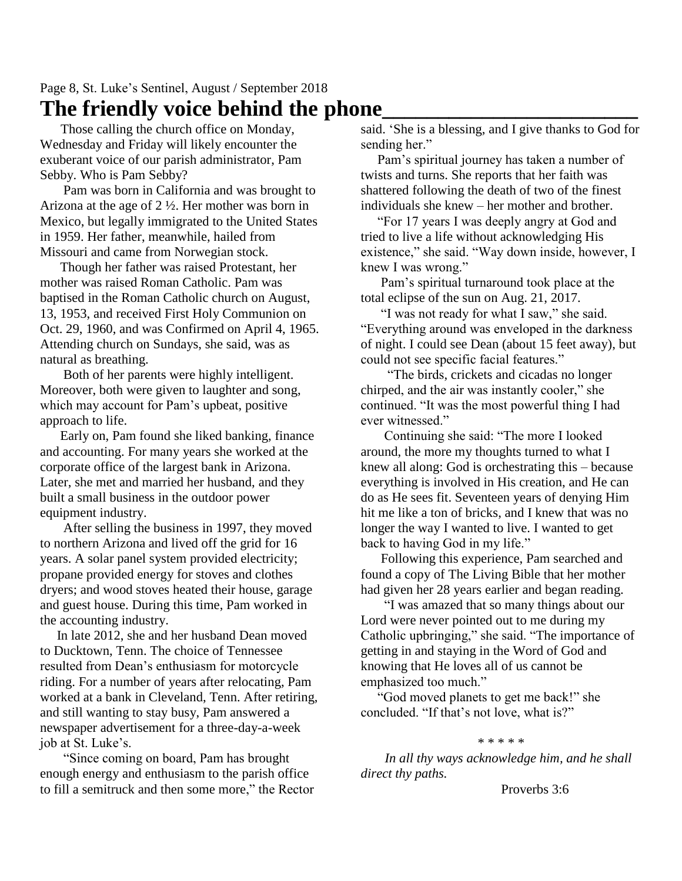### Page 8, St. Luke's Sentinel, August / September 2018 **The friendly voice behind the phone\_\_\_\_\_\_\_\_\_\_\_\_\_\_\_\_\_\_\_\_\_\_\_**

 Those calling the church office on Monday, Wednesday and Friday will likely encounter the exuberant voice of our parish administrator, Pam Sebby. Who is Pam Sebby?

 Pam was born in California and was brought to Arizona at the age of 2 ½. Her mother was born in Mexico, but legally immigrated to the United States in 1959. Her father, meanwhile, hailed from Missouri and came from Norwegian stock.

 Though her father was raised Protestant, her mother was raised Roman Catholic. Pam was baptised in the Roman Catholic church on August, 13, 1953, and received First Holy Communion on Oct. 29, 1960, and was Confirmed on April 4, 1965. Attending church on Sundays, she said, was as natural as breathing.

 Both of her parents were highly intelligent. Moreover, both were given to laughter and song, which may account for Pam's upbeat, positive approach to life.

 Early on, Pam found she liked banking, finance and accounting. For many years she worked at the corporate office of the largest bank in Arizona. Later, she met and married her husband, and they built a small business in the outdoor power equipment industry.

 After selling the business in 1997, they moved to northern Arizona and lived off the grid for 16 years. A solar panel system provided electricity; propane provided energy for stoves and clothes dryers; and wood stoves heated their house, garage and guest house. During this time, Pam worked in the accounting industry.

 In late 2012, she and her husband Dean moved to Ducktown, Tenn. The choice of Tennessee resulted from Dean's enthusiasm for motorcycle riding. For a number of years after relocating, Pam worked at a bank in Cleveland, Tenn. After retiring, and still wanting to stay busy, Pam answered a newspaper advertisement for a three-day-a-week job at St. Luke's.

 "Since coming on board, Pam has brought enough energy and enthusiasm to the parish office to fill a semitruck and then some more," the Rector said. 'She is a blessing, and I give thanks to God for sending her."

 Pam's spiritual journey has taken a number of twists and turns. She reports that her faith was shattered following the death of two of the finest individuals she knew – her mother and brother.

 "For 17 years I was deeply angry at God and tried to live a life without acknowledging His existence," she said. "Way down inside, however, I knew I was wrong."

 Pam's spiritual turnaround took place at the total eclipse of the sun on Aug. 21, 2017.

 "I was not ready for what I saw," she said. "Everything around was enveloped in the darkness of night. I could see Dean (about 15 feet away), but could not see specific facial features."

 "The birds, crickets and cicadas no longer chirped, and the air was instantly cooler," she continued. "It was the most powerful thing I had ever witnessed."

 Continuing she said: "The more I looked around, the more my thoughts turned to what I knew all along: God is orchestrating this – because everything is involved in His creation, and He can do as He sees fit. Seventeen years of denying Him hit me like a ton of bricks, and I knew that was no longer the way I wanted to live. I wanted to get back to having God in my life."

 Following this experience, Pam searched and found a copy of The Living Bible that her mother had given her 28 years earlier and began reading.

 "I was amazed that so many things about our Lord were never pointed out to me during my Catholic upbringing," she said. "The importance of getting in and staying in the Word of God and knowing that He loves all of us cannot be emphasized too much."

 "God moved planets to get me back!" she concluded. "If that's not love, what is?"

#### \* \* \* \* \*

*In all thy ways acknowledge him, and he shall direct thy paths.*

Proverbs 3:6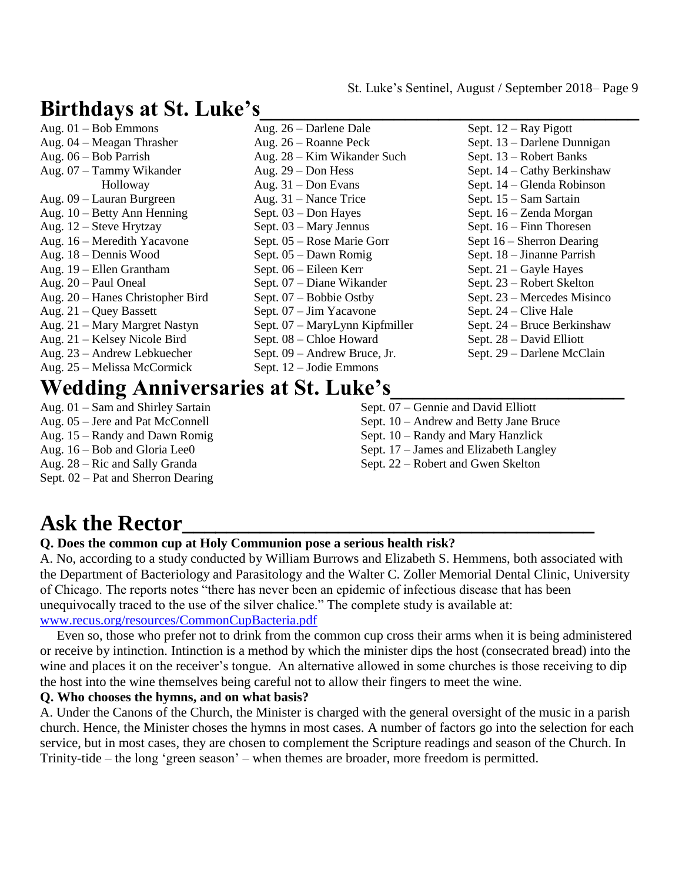# **Birthdays at St. Luke's\_\_\_\_\_\_\_\_\_\_\_\_\_\_\_\_\_\_\_\_\_\_\_\_\_\_\_\_\_\_\_\_\_\_**

| Aug. $26$ – Darlene Dale       | Sept. $12 - Ray$ Pigott     |
|--------------------------------|-----------------------------|
| Aug. $26 -$ Roanne Peck        | Sept. 13 – Darlene Dunnigan |
| Aug. 28 – Kim Wikander Such    | Sept. 13 – Robert Banks     |
| Aug. $29 - Don$ Hess           | Sept. 14 – Cathy Berkinshaw |
| Aug. $31 - Don Evans$          | Sept. 14 – Glenda Robinson  |
| Aug. $31$ – Nance Trice        | Sept. 15 – Sam Sartain      |
| Sept. $03 -$ Don Hayes         | Sept. 16 – Zenda Morgan     |
| Sept. 03 – Mary Jennus         | Sept. $16$ – Finn Thoresen  |
| Sept. 05 – Rose Marie Gorr     | Sept $16$ – Sherron Dearing |
| Sept. $05 -$ Dawn Romig        | Sept. 18 – Jinanne Parrish  |
| Sept. 06 – Eileen Kerr         | Sept. $21 - Gayle$ Hayes    |
| Sept. 07 – Diane Wikander      | Sept. 23 – Robert Skelton   |
| Sept. $07 - Bob$ bie Ostby     | Sept. 23 – Mercedes Misinco |
| Sept. $07 - Jim$ Yacavone      | Sept. $24$ – Clive Hale     |
| Sept. 07 – MaryLynn Kipfmiller | Sept. 24 – Bruce Berkinshaw |
|                                | Sept. 28 – David Elliott    |
| Sept. 09 – Andrew Bruce, Jr.   | Sept. 29 – Darlene McClain  |
| Sept. $12 -$ Jodie Emmons      |                             |
|                                | Sept. 08 – Chloe Howard     |

# **Wedding Anniversaries at St. Luke's\_\_\_\_\_\_\_\_\_\_\_\_\_\_\_\_\_\_\_\_\_**

Aug. 01 – Sam and Shirley Sartain Aug. 05 – Jere and Pat McConnell Aug. 15 – Randy and Dawn Romig Aug. 16 – Bob and Gloria Lee0 Aug. 28 – Ric and Sally Granda Sept. 02 – Pat and Sherron Dearing

- Sept. 07 Gennie and David Elliott Sept. 10 – Andrew and Betty Jane Bruce Sept. 10 – Randy and Mary Hanzlick Sept. 17 – James and Elizabeth Langley
- Sept. 22 Robert and Gwen Skelton
- 

# **Ask the Rector\_\_\_\_\_\_\_\_\_\_\_\_\_\_\_\_\_\_\_\_\_\_\_\_\_\_\_\_\_\_\_\_\_\_\_\_\_**

### **Q. Does the common cup at Holy Communion pose a serious health risk?**

A. No, according to a study conducted by William Burrows and Elizabeth S. Hemmens, both associated with the Department of Bacteriology and Parasitology and the Walter C. Zoller Memorial Dental Clinic, University of Chicago. The reports notes "there has never been an epidemic of infectious disease that has been unequivocally traced to the use of the silver chalice." The complete study is available at: [www.recus.org/resources/CommonCupBacteria.pdf](http://www.recus.org/resources/CommonCupBacteria.pdf)

 Even so, those who prefer not to drink from the common cup cross their arms when it is being administered or receive by intinction. Intinction is a method by which the minister dips the host (consecrated bread) into the wine and places it on the receiver's tongue. An alternative allowed in some churches is those receiving to dip the host into the wine themselves being careful not to allow their fingers to meet the wine.

### **Q. Who chooses the hymns, and on what basis?**

A. Under the Canons of the Church, the Minister is charged with the general oversight of the music in a parish church. Hence, the Minister choses the hymns in most cases. A number of factors go into the selection for each service, but in most cases, they are chosen to complement the Scripture readings and season of the Church. In Trinity-tide – the long 'green season' – when themes are broader, more freedom is permitted.